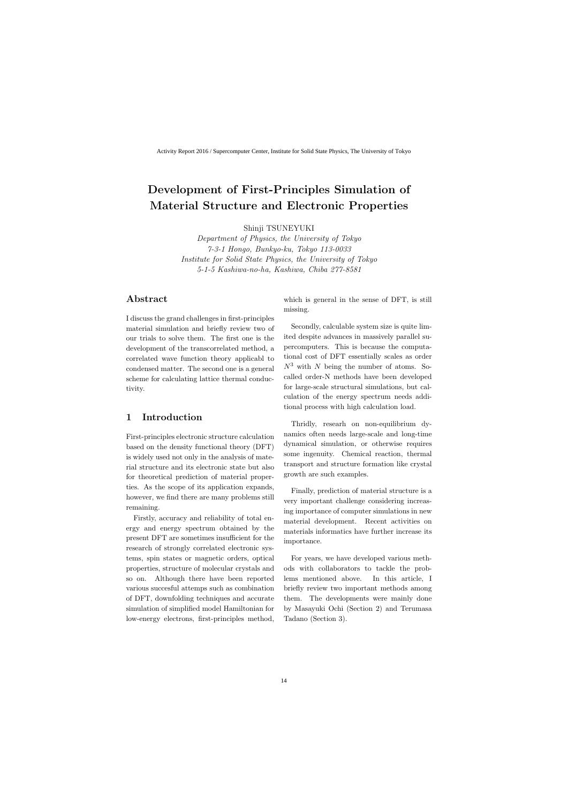# **Development of First-Principles Simulation of Material Structure and Electronic Properties**

Shinji TSUNEYUKI

*Department of Physics, the University of Tokyo 7-3-1 Hongo, Bunkyo-ku, Tokyo 113-0033 Institute for Solid State Physics, the University of Tokyo 5-1-5 Kashiwa-no-ha, Kashiwa, Chiba 277-8581*

## **Abstract**

I discuss the grand challenges in first-principles material simulation and briefly review two of our trials to solve them. The first one is the development of the transcorrelated method, a correlated wave function theory applicabl to condensed matter. The second one is a general scheme for calculating lattice thermal conductivity.

## **1 Introduction**

First-principles electronic structure calculation based on the density functional theory (DFT) is widely used not only in the analysis of material structure and its electronic state but also for theoretical prediction of material properties. As the scope of its application expands, however, we find there are many problems still remaining.

Firstly, accuracy and reliability of total energy and energy spectrum obtained by the present DFT are sometimes insufficient for the research of strongly correlated electronic systems, spin states or magnetic orders, optical properties, structure of molecular crystals and so on. Although there have been reported various succesful attemps such as combination of DFT, downfolding techniques and accurate simulation of simplified model Hamiltonian for low-energy electrons, first-principles method, which is general in the sense of DFT, is still missing.

Secondly, calculable system size is quite limited despite advances in massively parallel supercomputers. This is because the computational cost of DFT essentially scales as order *N*<sup>3</sup> with *N* being the number of atoms. Socalled order-N methods have been developed for large-scale structural simulations, but calculation of the energy spectrum needs additional process with high calculation load.

Thridly, researh on non-equilibrium dynamics often needs large-scale and long-time dynamical simulation, or otherwise requires some ingenuity. Chemical reaction, thermal transport and structure formation like crystal growth are such examples.

Finally, prediction of material structure is a very important challenge considering increasing importance of computer simulations in new material development. Recent activities on materials informatics have further increase its importance.

For years, we have developed various methods with collaborators to tackle the problems mentioned above. In this article, I briefly review two important methods among them. The developments were mainly done by Masayuki Ochi (Section 2) and Terumasa Tadano (Section 3).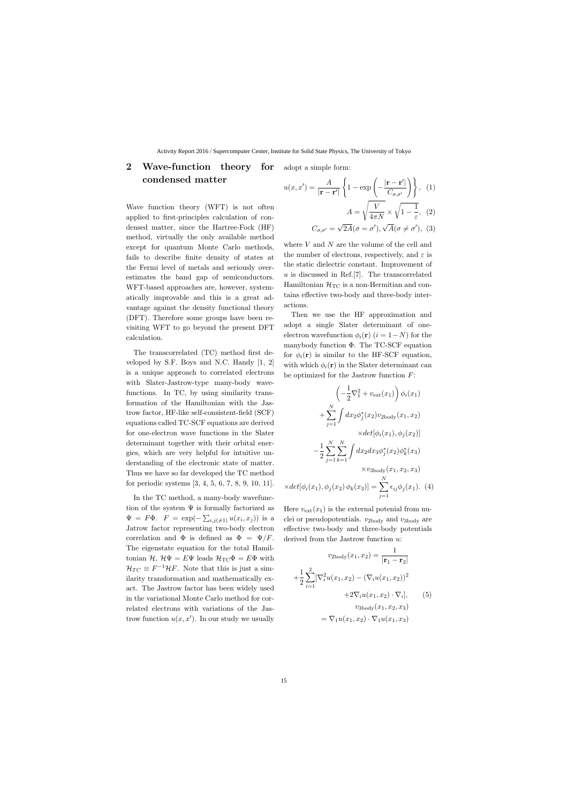## **2 Wave-function theory for condensed matter** *u*(*x, x′*

Wave function theory (WFT) is not often applied to first-principles calculation of condensed matter, since the Hartree-Fock (HF) method, virtually the only available method except for quantum Monte Carlo methods, fails to describe finite density of states at the Fermi level of metals and seriously overestimates the band gap of semiconductors. WFT-based approaches are, however, systematically improvable and this is a great advantage against the density functional theory (DFT). Therefore some groups have been revisiting WFT to go beyond the present DFT calculation.

The transcorrelated (TC) method first developed by S.F. Boys and N.C. Handy [1, 2] is a unique approach to correlated electrons with Slater-Jastrow-type many-body wavefunctions. In TC, by using similarity transformation of the Hamiltonian with the Jastrow factor, HF-like self-consistent-field (SCF) equations called TC-SCF equations are derived for one-electron wave functions in the Slater determinant together with their orbital energies, which are very helpful for intuitive understanding of the electronic state of matter. Thus we have so far developed the TC method for periodic systems [3, 4, 5, 6, 7, 8, 9, 10, 11].

In the TC method, a many-body wavefunction of the system  $\Psi$  is formally factorized as  $\Psi = F\Phi$ .  $F = \exp(-\sum_{i,j(\neq 1)} u(x_i, x_j))$  is a Jatrow factor representing two-body electron correlation and  $\Phi$  is defined as  $\Phi = \Psi/F$ . The eigenstate equation for the total Hamiltonian  $\mathcal{H}, \mathcal{H}\Psi = E\Psi$  leads  $\mathcal{H}_{TC}\Phi = E\Phi$  with  $\mathcal{H}_{TC} \equiv F^{-1}\mathcal{H}F$ . Note that this is just a similarity transformation and mathematically exact. The Jastrow factor has been widely used in the variational Monte Carlo method for correlated electrons with variations of the Jastrow function  $u(x, x')$ . In our study we usually

adopt a simple form:

$$
u(x, x') = \frac{A}{|\mathbf{r} - \mathbf{r}'|} \left\{ 1 - \exp\left(-\frac{|\mathbf{r} - \mathbf{r}'|}{C_{\sigma, \sigma'}}\right) \right\}, \quad (1)
$$

$$
A = \sqrt{\frac{v}{4\pi N}} \times \sqrt{1 - \frac{1}{\varepsilon}}, \quad (2)
$$

 $C_{\sigma,\sigma'} =$  $2A(\sigma = \sigma'),$  $A(\sigma \neq \sigma')$ , (3)

where *V* and *N* are the volume of the cell and the number of electrons, respectively, and  $\varepsilon$  is the static dielectric constant. Improvement of *u* is discussed in Ref.[7]. The transcorrelated Hamiltonian  $\mathcal{H}_{TC}$  is a non-Hermitian and contains effective two-body and three-body interactions.

Then we use the HF approximation and adopt a single Slater determinant of oneelectron wavefunction  $\phi_i(\mathbf{r})$  ( $i = 1 - N$ ) for the manybody function  $\Phi$ . The TC-SCF equation for  $\phi_i(\mathbf{r})$  is similar to the HF-SCF equation, with which  $\phi_i(\mathbf{r})$  in the Slater determinant can be optimized for the Jastrow function *F*:

$$
\left(-\frac{1}{2}\nabla_1^2 + v_{\text{ext}}(x_1)\right)\phi_i(x_1)
$$

$$
+\sum_{j=1}^N \int dx_2 \phi_j^*(x_2)v_{\text{2body}}(x_1, x_2)
$$

$$
\times det[\phi_i(x_1), \phi_j(x_2)]
$$

$$
-\frac{1}{2}\sum_{j=1}^N \sum_{k=1}^N \int dx_2 dx_3 \phi_j^*(x_2)\phi_k^*(x_3)
$$

$$
\times v_{\text{3body}}(x_1, x_2, x_3)
$$

$$
\times det[\phi_i(x_1), \phi_j(x_2)\phi_k(x_3)] = \sum_{j=1}^N \epsilon_{ij}\phi_j(x_1). \tag{4}
$$

Here  $v_{\text{ext}}(x_1)$  is the external potenial from nuclei or pseudopotentials. *v*2body and *v*3body are effective two-body and three-body potentials derived from the Jastrow function *u*:

$$
v_{2body}(x_1, x_2) = \frac{1}{|\mathbf{r}_1 - \mathbf{r}_2|}
$$

$$
+ \frac{1}{2} \sum_{i=1}^{2} [\nabla_i^2 u(x_1, x_2) - (\nabla_i u(x_1, x_2))^2
$$

$$
+ 2\nabla_i u(x_1, x_2) \cdot \nabla_i], \qquad (5)
$$

$$
v_{3body}(x_1, x_2, x_3)
$$

$$
= \nabla_1 u(x_1, x_2) \cdot \nabla_1 u(x_1, x_3)
$$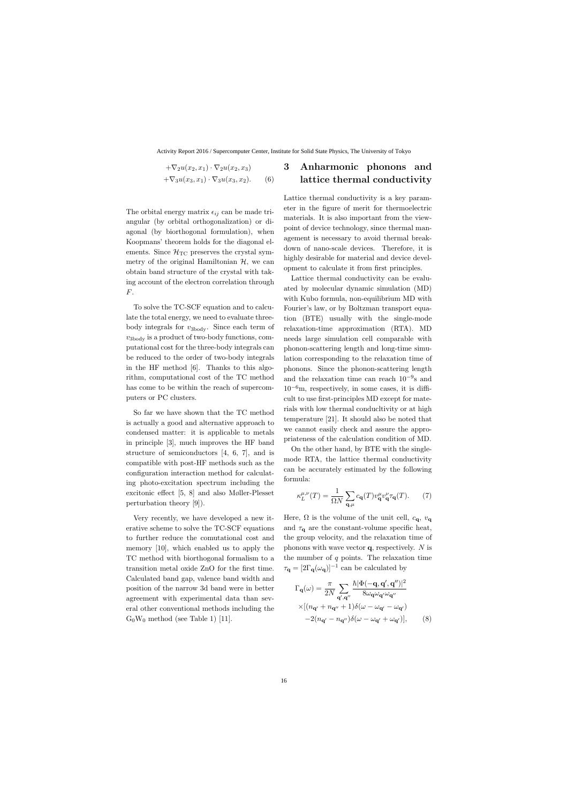$$
+\nabla_2 u(x_2, x_1) \cdot \nabla_2 u(x_2, x_3)
$$
  
+
$$
\nabla_3 u(x_3, x_1) \cdot \nabla_3 u(x_3, x_2).
$$
 (6)

The orbital energy matrix  $\epsilon_{ij}$  can be made triangular (by orbital orthogonalization) or diagonal (by biorthogonal formulation), when Koopmans' theorem holds for the diagonal elements. Since  $\mathcal{H}_{TC}$  preserves the crystal symmetry of the original Hamiltonian  $H$ , we can obtain band structure of the crystal with taking account of the electron correlation through *F*.

To solve the TC-SCF equation and to calculate the total energy, we need to evaluate threebody integrals for *v*3body. Since each term of  $v_{\text{3body}}$  is a product of two-body functions, computational cost for the three-body integrals can be reduced to the order of two-body integrals in the HF method [6]. Thanks to this algorithm, computational cost of the TC method has come to be within the reach of supercomputers or PC clusters.

So far we have shown that the TC method is actually a good and alternative approach to condensed matter: it is applicable to metals in principle [3], much improves the HF band structure of semiconductors [4, 6, 7], and is compatible with post-HF methods such as the configuration interaction method for calculating photo-excitation spectrum including the excitonic effect [5, 8] and also Møller-Plesset perturbation theory [9]).

Very recently, we have developed a new iterative scheme to solve the TC-SCF equations to further reduce the comutational cost and memory [10], which enabled us to apply the TC method with biorthogonal formalism to a transition metal oxide ZnO for the first time. Calculated band gap, valence band width and position of the narrow 3d band were in better agreement with experimental data than several other conventional methods including the  $G_0W_0$  method (see Table 1) [11].

## **3 Anharmonic phonons and lattice thermal conductivity**

Lattice thermal conductivity is a key parameter in the figure of merit for thermoelectric materials. It is also important from the viewpoint of device technology, since thermal management is necessary to avoid thermal breakdown of nano-scale devices. Therefore, it is highly desirable for material and device development to calculate it from first principles.

Lattice thermal conductivity can be evaluated by molecular dynamic simulation (MD) with Kubo formula, non-equilibrium MD with Fourier's law, or by Boltzman transport equation (BTE) usually with the single-mode relaxation-time approximation (RTA). MD needs large simulation cell comparable with phonon-scattering length and long-time simulation corresponding to the relaxation time of phonons. Since the phonon-scattering length and the relaxation time can reach 10*−*<sup>9</sup> s and 10*−*6m, respectively, in some cases, it is difficult to use first-principles MD except for materials with low thermal conducltivity or at high temperature [21]. It should also be noted that we cannot easily check and assure the appropriateness of the calculation condition of MD.

On the other hand, by BTE with the singlemode RTA, the lattice thermal conductivity can be accurately estimated by the following formula:

$$
\kappa_L^{\mu,\nu}(T) = \frac{1}{\Omega N} \sum_{\mathbf{q},\mu} c_{\mathbf{q}}(T) v_{\mathbf{q}}^{\mu} v_{\mathbf{q}}^{\nu} \tau_{\mathbf{q}}(T). \tag{7}
$$

Here,  $\Omega$  is the volume of the unit cell,  $c_{\mathbf{q}}$ ,  $v_{\mathbf{q}}$ and  $\tau_q$  are the constant-volume specific heat, the group velocity, and the relaxation time of phonons with wave vector **q**, respectively. *N* is the mumber of *q* points. The relaxation time  $\tau$ **q** =  $[2\Gamma$ **q**( $\omega$ **q**)]<sup>-1</sup> can be calculated by

$$
\Gamma_{\mathbf{q}}(\omega) = \frac{\pi}{2N} \sum_{\mathbf{q}',\mathbf{q}''} \frac{\hbar |\Phi(-\mathbf{q}, \mathbf{q}', \mathbf{q}'')|^2}{8\omega_{\mathbf{q}}\omega_{\mathbf{q}'}\omega_{\mathbf{q}''}}\n\times \left[ (n_{\mathbf{q}'} + n_{\mathbf{q}''} + 1) \delta(\omega - \omega_{\mathbf{q}'} - \omega_{\mathbf{q}'}) \right]\n- 2(n_{\mathbf{q}'} - n_{\mathbf{q}''}) \delta(\omega - \omega_{\mathbf{q}'} + \omega_{\mathbf{q}'})],
$$
\n(8)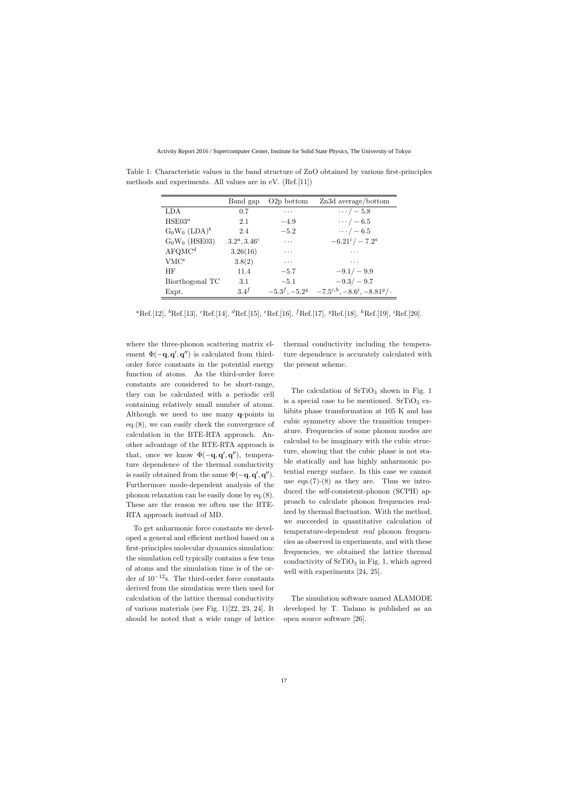|                    | Band gap         | $O2p$ bottom | Zn3d average/bottom                            |
|--------------------|------------------|--------------|------------------------------------------------|
| LDA.               | 0.7              | $\cdots$     | $\cdots$ / $-5.8$                              |
| HSE03 <sup>a</sup> | 2.1              | $-4.9$       | $\cdots/ -6.5$                                 |
| $G_0W_0(LDA)^b$    | 2.4              | $-5.2$       | $\cdots/ -6.5$                                 |
| $G_0W_0$ (HSE03)   | $3.2^a, 3.46^c$  | $\cdots$     | $-6.21^c/-7.2^a$                               |
| AFGMC <sup>d</sup> | 3.26(16)         | .            | .                                              |
| VMC <sup>e</sup>   | 3.8(2)           | $\cdots$     | $\cdots$                                       |
| HF                 | 11.4             | $-5.7$       | $-9.1/-9.9$                                    |
| Biorthogonal TC    | 3.1              | $-5.1$       | $-9.3/-9.7$                                    |
| Expt.              | 3.4 <sup>f</sup> |              | $-5.3^f, -5.2^g$ $-7.5^{c,h}, -8.6^i, -8.81^g$ |

Table 1: Characteristic values in the band structure of ZnO obtained by various first-principles methods and experiments. All values are in eV. (Ref.[11])

*<sup>a</sup>*Ref.[12], *<sup>b</sup>*Ref.[13], *<sup>c</sup>*Ref.[14], *<sup>d</sup>*Ref.[15], *<sup>e</sup>*Ref.[16], *<sup>f</sup>*Ref.[17], *<sup>g</sup>*Ref.[18], *<sup>h</sup>*Ref.[19], *<sup>i</sup>*Ref.[20].

where the three-phonon scattering matrix element  $\Phi(-\mathbf{q}, \mathbf{q}', \mathbf{q}'')$  is calculated from thirdorder force constants in the potential energy function of atoms. As the third-order force constants are considered to be short-range, they can be calculated with a periodic cell containing relatively small number of atoms. Although we need to use many **q**-points in eq.(8), we can easily check the convergence of calculation in the BTE-RTA approach. Another advantage of the BTE-RTA approach is that, once we know  $\Phi(-\mathbf{q}, \mathbf{q}', \mathbf{q}'')$ , temperature dependence of the thermal conductivity is easily obtained from the same  $\Phi(-\mathbf{q}, \mathbf{q}', \mathbf{q}'')$ . Furthermore mode-dependent analysis of the phonon relaxation can be easily done by eq.(8). These are the reason we often use the BTE-RTA approach instead of MD.

To get anharmonic force constants we developed a general and efficient method based on a first-principles molecular dynamics simulation: the simulation cell typically contains a few tens of atoms and the simulation time is of the order of 10*−*12s. The third-order force constants derived from the simulation were then used for calculation of the lattice thermal conductivity of various materials (see Fig. 1)[22, 23, 24]. It should be noted that a wide range of lattice thermal conductivity including the temperature dependence is accurately calculated with the present scheme.

The calculation of  $SrTiO<sub>3</sub>$  shown in Fig. 1 is a special case to be mentioned.  $SrTiO<sub>3</sub>$  exhibits phase transformation at 105 K and has cubic symmetry above the transition temperature. Frequencies of some phonon modes are calculad to be imaginary with the cubic structure, showing that the cubic phase is not stable statically and has highly anharmonic potential energy surface. In this case we cannot use eqs.  $(7)-(8)$  as they are. Thus we introduced the self-consistent-phonon (SCPH) approach to calculate phonon frequencies realized by thermal fluctuation. With the method, we succeeded in quantitative calculation of temperature-dependent *real* phonon frequencies as observed in experiments, and with these frequencies, we obtained the lattice thermal conductivity of  $SrTiO<sub>3</sub>$  in Fig. 1, which agreed well with experiments [24, 25].

The simulation software named ALAMODE developed by T. Tadano is published as an open source software [26].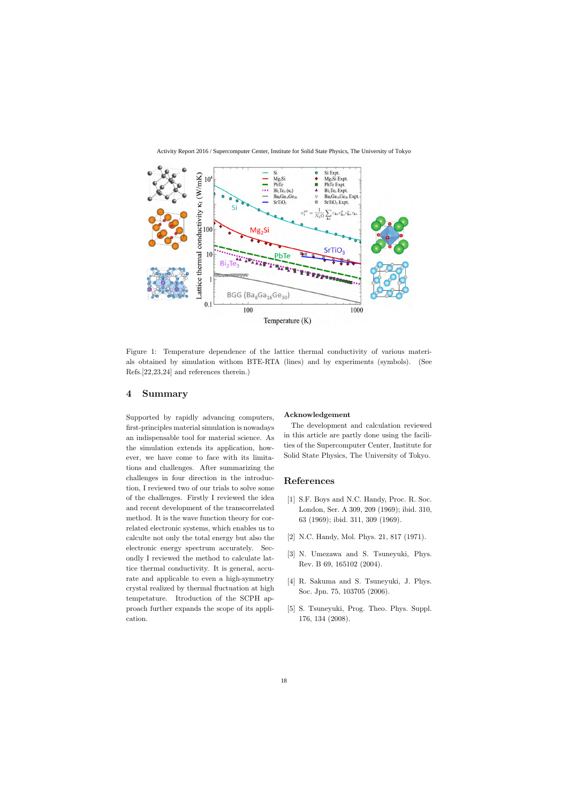

Figure 1: Temperature dependence of the lattice thermal conductivity of various materials obtained by simulation withom BTE-RTA (lines) and by experiments (symbols). (See Refs.[22,23,24] and references therein.)

## **4 Summary**

Supported by rapidly advancing computers, first-principles material simulation is nowadays an indispensable tool for material science. As the simulation extends its application, however, we have come to face with its limitations and challenges. After summarizing the challenges in four direction in the introduction, I reviewed two of our trials to solve some of the challenges. Firstly I reviewed the idea and recent development of the transcorrelated method. It is the wave function theory for correlated electronic systems, which enables us to calculte not only the total energy but also the electronic energy spectrum accurately. Secondly I reviewed the method to calculate lattice thermal conductivity. It is general, accurate and applicable to even a high-symmetry crystal realized by thermal fluctuation at high tempetature. Itroduction of the SCPH approach further expands the scope of its application.

#### **Acknowledgement**

The development and calculation reviewed in this article are partly done using the facilities of the Supercomputer Center, Institute for Solid State Physics, The University of Tokyo.

### **References**

- [1] S.F. Boys and N.C. Handy, Proc. R. Soc. London, Ser. A 309, 209 (1969); ibid. 310, 63 (1969); ibid. 311, 309 (1969).
- [2] N.C. Handy, Mol. Phys. 21, 817 (1971).
- [3] N. Umezawa and S. Tsuneyuki, Phys. Rev. B 69, 165102 (2004).
- [4] R. Sakuma and S. Tsuneyuki, J. Phys. Soc. Jpn. 75, 103705 (2006).
- [5] S. Tsuneyuki, Prog. Theo. Phys. Suppl. 176, 134 (2008).